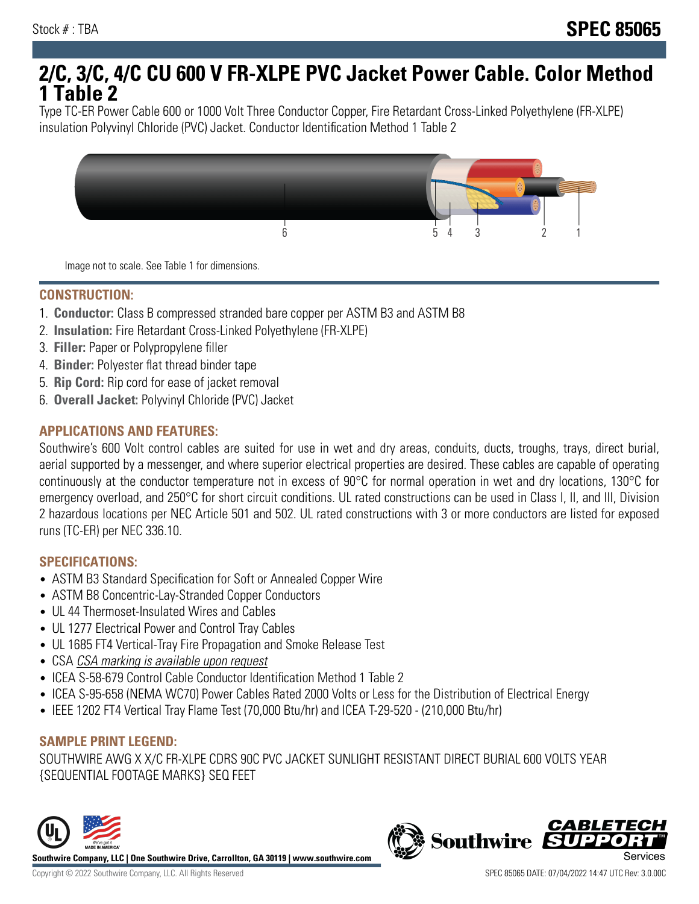# **2/C, 3/C, 4/C CU 600 V FR-XLPE PVC Jacket Power Cable. Color Method 1 Table 2**

Type TC-ER Power Cable 600 or 1000 Volt Three Conductor Copper, Fire Retardant Cross-Linked Polyethylene (FR-XLPE) insulation Polyvinyl Chloride (PVC) Jacket. Conductor Identification Method 1 Table 2



Image not to scale. See Table 1 for dimensions.

#### **CONSTRUCTION:**

- 1. **Conductor:** Class B compressed stranded bare copper per ASTM B3 and ASTM B8
- 2. **Insulation:** Fire Retardant Cross-Linked Polyethylene (FR-XLPE)
- 3. **Filler:** Paper or Polypropylene filler
- 4. **Binder:** Polyester flat thread binder tape
- 5. **Rip Cord:** Rip cord for ease of jacket removal
- 6. **Overall Jacket:** Polyvinyl Chloride (PVC) Jacket

## **APPLICATIONS AND FEATURES:**

Southwire's 600 Volt control cables are suited for use in wet and dry areas, conduits, ducts, troughs, trays, direct burial, aerial supported by a messenger, and where superior electrical properties are desired. These cables are capable of operating continuously at the conductor temperature not in excess of 90°C for normal operation in wet and dry locations, 130°C for emergency overload, and 250°C for short circuit conditions. UL rated constructions can be used in Class I, II, and III, Division 2 hazardous locations per NEC Article 501 and 502. UL rated constructions with 3 or more conductors are listed for exposed runs (TC-ER) per NEC 336.10.

#### **SPECIFICATIONS:**

- ASTM B3 Standard Specification for Soft or Annealed Copper Wire
- ASTM B8 Concentric-Lay-Stranded Copper Conductors
- UL 44 Thermoset-Insulated Wires and Cables
- UL 1277 Electrical Power and Control Tray Cables
- UL 1685 FT4 Vertical-Tray Fire Propagation and Smoke Release Test
- CSA CSA marking is available upon request
- ICEA S-58-679 Control Cable Conductor Identification Method 1 Table 2
- ICEA S-95-658 (NEMA WC70) Power Cables Rated 2000 Volts or Less for the Distribution of Electrical Energy
- IEEE 1202 FT4 Vertical Tray Flame Test (70,000 Btu/hr) and ICEA T-29-520 (210,000 Btu/hr)

#### **SAMPLE PRINT LEGEND:**

SOUTHWIRE AWG X X/C FR-XLPE CDRS 90C PVC JACKET SUNLIGHT RESISTANT DIRECT BURIAL 600 VOLTS YEAR {SEQUENTIAL FOOTAGE MARKS} SEQ FEET



**Southwire** 

**CABLETE**